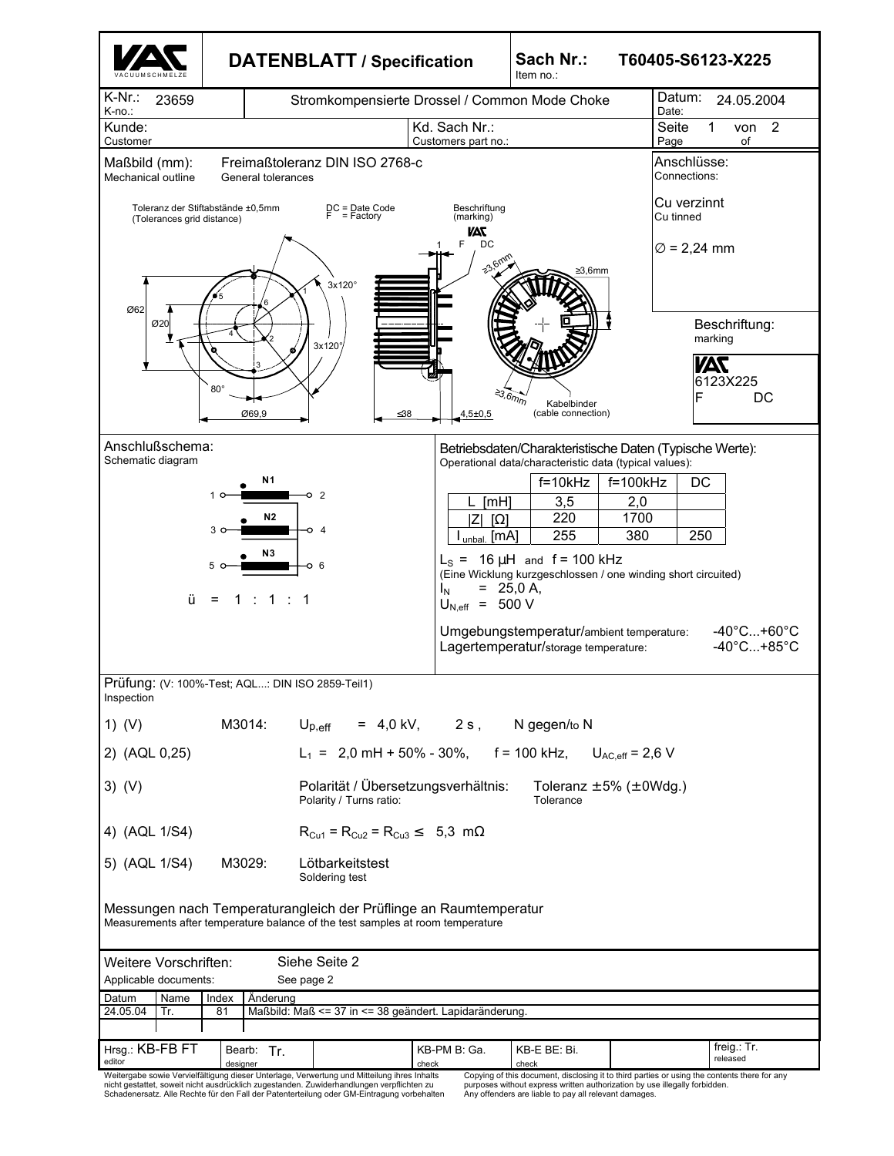|                                           |                                                  | <b>DATENBLATT / Specification</b>                                                                                                                   |                                                                                             | Sach Nr.:<br>Item no.:                                                                                                                                                                                                                                                                                                                         | T60405-S6123-X225                |                                                                                 |  |
|-------------------------------------------|--------------------------------------------------|-----------------------------------------------------------------------------------------------------------------------------------------------------|---------------------------------------------------------------------------------------------|------------------------------------------------------------------------------------------------------------------------------------------------------------------------------------------------------------------------------------------------------------------------------------------------------------------------------------------------|----------------------------------|---------------------------------------------------------------------------------|--|
| $K-Nr$ .:<br>23659<br>K-no.:              | Stromkompensierte Drossel / Common Mode Choke    |                                                                                                                                                     |                                                                                             |                                                                                                                                                                                                                                                                                                                                                |                                  | Datum:<br>24.05.2004<br>Date:                                                   |  |
| Kunde:<br>Customer                        |                                                  |                                                                                                                                                     | Kd. Sach Nr.:<br>Customers part no.:                                                        |                                                                                                                                                                                                                                                                                                                                                | Seite<br>Page                    | $\overline{2}$<br>1<br>von<br>of                                                |  |
| Maßbild (mm):<br>Mechanical outline       | General tolerances                               | Freimaßtoleranz DIN ISO 2768-c                                                                                                                      |                                                                                             |                                                                                                                                                                                                                                                                                                                                                | Anschlüsse:<br>Connections:      |                                                                                 |  |
| (Tolerances grid distance)                | Toleranz der Stiftabstände ±0.5mm                | DC = Date Code<br>F = Factory                                                                                                                       | Beschriftung<br>(marking)                                                                   |                                                                                                                                                                                                                                                                                                                                                | Cu verzinnt<br>Cu tinned         |                                                                                 |  |
| Ø62<br>Ø20                                | $80^\circ$<br>Ø69,9                              | $3x120^\circ$<br>3x120°<br>$\leq 38$                                                                                                                | 7AV<br>DC<br>F<br>$\stackrel{\triangle}{\rightarrow} 3.6 m$<br>$4,5{\pm}0,5$                | $\geq$ 3,6mm<br>Kabelbinder<br>(cable connection)                                                                                                                                                                                                                                                                                              | $\varnothing$ = 2,24 mm          | Beschriftung:<br>marking<br><b>TAS</b><br>6123X225<br>F<br>DC                   |  |
| Anschlußschema:<br>Schematic diagram<br>ü | Ν1<br>10<br>N2<br>N <sub>3</sub><br>1<br>=       | $\overline{2}$<br>o<br>o 4<br>O 6<br>1                                                                                                              | [mH]<br>$\Omega$<br>ΙZΙ<br>$I_{unbal.}$ [mA]<br>$= 25,0 A,$<br>$I_N$<br>$U_{N,eff}$ = 500 V | Betriebsdaten/Charakteristische Daten (Typische Werte):<br>Operational data/characteristic data (typical values):<br>$f=10kHz$<br>3,5<br>220<br>255<br>$L_s$ = 16 $\mu$ H and f = 100 kHz<br>(Eine Wicklung kurzgeschlossen / one winding short circuited)<br>Umgebungstemperatur/ambient temperature:<br>Lagertemperatur/storage temperature: | $f=100kHz$<br>2,0<br>1700<br>380 | DC<br>250<br>$-40^{\circ}$ C+60 $^{\circ}$ C<br>$-40^{\circ}$ C+85 $^{\circ}$ C |  |
| Inspection                                | Prüfung: (V: 100%-Test; AQL: DIN ISO 2859-Teil1) |                                                                                                                                                     |                                                                                             |                                                                                                                                                                                                                                                                                                                                                |                                  |                                                                                 |  |
| 1) $(V)$                                  | M3014:                                           | $\mathsf{U}_{\mathsf{p},\mathsf{eff}}$                                                                                                              |                                                                                             | $= 4.0$ kV, $2 s$ , N gegen/to N                                                                                                                                                                                                                                                                                                               |                                  |                                                                                 |  |
| 2) (AQL 0,25)                             |                                                  | $L_1 = 2.0$ mH + 50% - 30%, f = 100 kHz,                                                                                                            |                                                                                             |                                                                                                                                                                                                                                                                                                                                                | $U_{AC,eff}$ = 2,6 V             |                                                                                 |  |
| $3)$ (V)                                  |                                                  | Polarität / Übersetzungsverhältnis:<br>Polarity / Turns ratio:                                                                                      |                                                                                             | Tolerance                                                                                                                                                                                                                                                                                                                                      | Toleranz $\pm$ 5% ( $\pm$ 0Wdg.) |                                                                                 |  |
| 4) (AQL 1/S4)                             |                                                  | $R_{Cu1} = R_{Cu2} = R_{Cu3} \le 5.3$ m $\Omega$                                                                                                    |                                                                                             |                                                                                                                                                                                                                                                                                                                                                |                                  |                                                                                 |  |
| 5) (AQL 1/S4)                             | M3029:                                           | Lötbarkeitstest<br>Soldering test                                                                                                                   |                                                                                             |                                                                                                                                                                                                                                                                                                                                                |                                  |                                                                                 |  |
|                                           |                                                  | Messungen nach Temperaturangleich der Prüflinge an Raumtemperatur<br>Measurements after temperature balance of the test samples at room temperature |                                                                                             |                                                                                                                                                                                                                                                                                                                                                |                                  |                                                                                 |  |
| Weitere Vorschriften:                     |                                                  | Siehe Seite 2                                                                                                                                       |                                                                                             |                                                                                                                                                                                                                                                                                                                                                |                                  |                                                                                 |  |
| Applicable documents:                     |                                                  | See page 2                                                                                                                                          |                                                                                             |                                                                                                                                                                                                                                                                                                                                                |                                  |                                                                                 |  |
| Datum<br>Name                             | Index<br>Anderung                                |                                                                                                                                                     |                                                                                             |                                                                                                                                                                                                                                                                                                                                                |                                  |                                                                                 |  |
| 24.05.04<br>Tr.                           | 81                                               | Maßbild: Maß <= 37 in <= 38 geändert. Lapidaränderung.                                                                                              |                                                                                             |                                                                                                                                                                                                                                                                                                                                                |                                  |                                                                                 |  |
|                                           |                                                  |                                                                                                                                                     |                                                                                             |                                                                                                                                                                                                                                                                                                                                                |                                  |                                                                                 |  |
| Hrsg.: KB-FB FT                           | Bearb: Tr.                                       |                                                                                                                                                     | KB-PM B: Ga.                                                                                | KB-E BE: Bi.                                                                                                                                                                                                                                                                                                                                   |                                  | freig.: Tr.                                                                     |  |